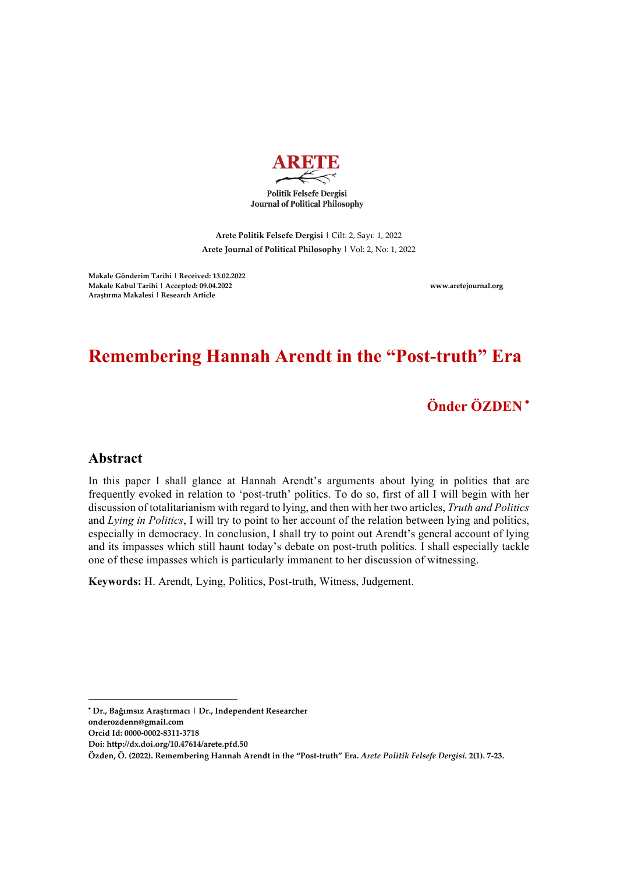

**Politik Felsefe Dergisi Journal of Political Philosophy** 

**Arete Politik Felsefe Dergisi |** Cilt: 2, Sayı: 1, 2022 **Arete Journal of Political Philosophy |** Vol: 2, No: 1, 2022

**Makale Gönderim Tarihi | Received: 13.02.2022 Makale Kabul Tarihi | Accepted: 09.04.2022 www.aretejournal.org Araştırma Makalesi | Research Article**

# **Remembering Hannah Arendt in the "Post-truth" Era**

**Önder ÖZDEN** •

### **Abstract**

In this paper I shall glance at Hannah Arendt's arguments about lying in politics that are frequently evoked in relation to 'post-truth' politics. To do so, first of all I will begin with her discussion of totalitarianism with regard to lying, and then with her two articles, *Truth and Politics*  and *Lying in Politics*, I will try to point to her account of the relation between lying and politics, especially in democracy. In conclusion, I shall try to point out Arendt's general account of lying and its impasses which still haunt today's debate on post-truth politics. I shall especially tackle one of these impasses which is particularly immanent to her discussion of witnessing.

**Keywords:** H. Arendt, Lying, Politics, Post-truth, Witness, Judgement.

<u> 1989 - Johann Barn, mars ann an t-Amhain an t-Amhain an t-Amhain an t-Amhain an t-Amhain an t-Amhain an t-Amh</u>

<sup>•</sup> **Dr., Bağımsız Araştırmacı | Dr., Independent Researcher**

**onderozdenn@gmail.com**

**Orcid Id: 0000-0002-8311-3718** 

**Doi: http://dx.doi.org/10.47614/arete.pfd.50**

**Özden, Ö. (2022). Remembering Hannah Arendt in the "Post-truth" Era.** *Arete Politik Felsefe Dergisi.* **2(1). 7-23.**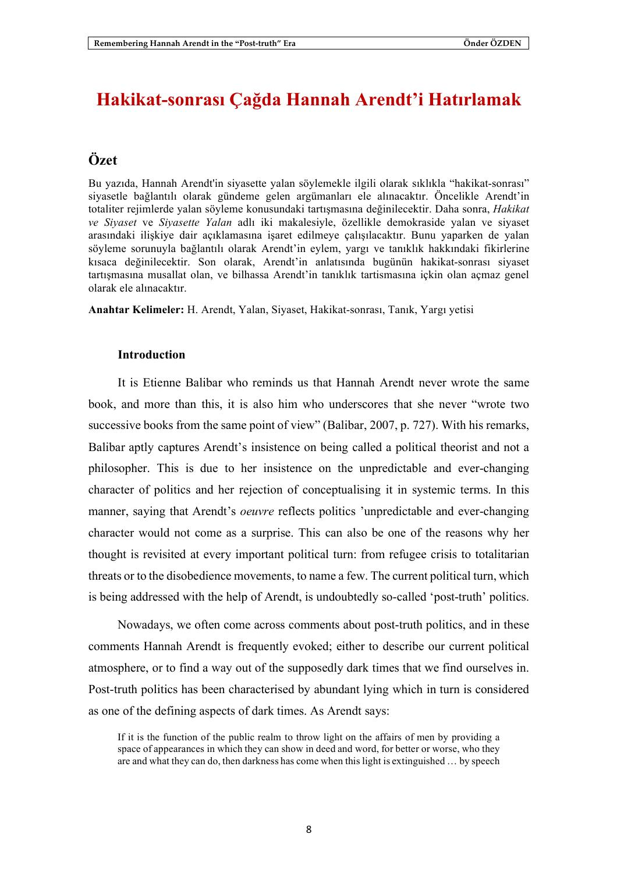## **Hakikat-sonrası Çağda Hannah Arendt'i Hatırlamak**

## **Özet**

Bu yazıda, Hannah Arendt'in siyasette yalan söylemekle ilgili olarak sıklıkla "hakikat-sonrası" siyasetle bağlantılı olarak gündeme gelen argümanları ele alınacaktır. Öncelikle Arendt'in totaliter rejimlerde yalan söyleme konusundaki tartışmasına değinilecektir. Daha sonra, *Hakikat ve Siyaset* ve *Siyasette Yalan* adlı iki makalesiyle, özellikle demokraside yalan ve siyaset arasındaki ilişkiye dair açıklamasına işaret edilmeye çalışılacaktır. Bunu yaparken de yalan söyleme sorunuyla bağlantılı olarak Arendt'in eylem, yargı ve tanıklık hakkındaki fikirlerine kısaca değinilecektir. Son olarak, Arendt'in anlatısında bugünün hakikat-sonrası siyaset tartışmasına musallat olan, ve bilhassa Arendt'in tanıklık tartismasına içkin olan açmaz genel olarak ele alınacaktır.

**Anahtar Kelimeler:** H. Arendt, Yalan, Siyaset, Hakikat-sonrası, Tanık, Yargı yetisi

#### **Introduction**

It is Etienne Balibar who reminds us that Hannah Arendt never wrote the same book, and more than this, it is also him who underscores that she never "wrote two successive books from the same point of view" (Balibar, 2007, p. 727). With his remarks, Balibar aptly captures Arendt's insistence on being called a political theorist and not a philosopher. This is due to her insistence on the unpredictable and ever-changing character of politics and her rejection of conceptualising it in systemic terms. In this manner, saying that Arendt's *oeuvre* reflects politics 'unpredictable and ever-changing character would not come as a surprise. This can also be one of the reasons why her thought is revisited at every important political turn: from refugee crisis to totalitarian threats or to the disobedience movements, to name a few. The current political turn, which is being addressed with the help of Arendt, is undoubtedly so-called 'post-truth' politics.

Nowadays, we often come across comments about post-truth politics, and in these comments Hannah Arendt is frequently evoked; either to describe our current political atmosphere, or to find a way out of the supposedly dark times that we find ourselves in. Post-truth politics has been characterised by abundant lying which in turn is considered as one of the defining aspects of dark times. As Arendt says:

If it is the function of the public realm to throw light on the affairs of men by providing a space of appearances in which they can show in deed and word, for better or worse, who they are and what they can do, then darkness has come when this light is extinguished … by speech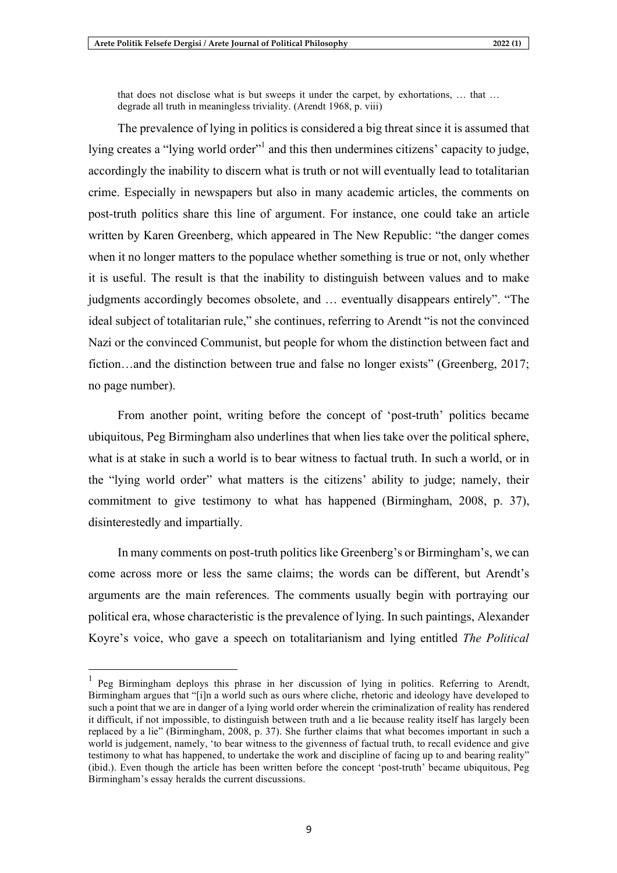that does not disclose what is but sweeps it under the carpet, by exhortations, … that … degrade all truth in meaningless triviality. (Arendt 1968, p. viii)

The prevalence of lying in politics is considered a big threat since it is assumed that lying creates a "lying world order" and this then undermines citizens' capacity to judge, accordingly the inability to discern what is truth or not will eventually lead to totalitarian crime. Especially in newspapers but also in many academic articles, the comments on post-truth politics share this line of argument. For instance, one could take an article written by Karen Greenberg, which appeared in The New Republic: "the danger comes when it no longer matters to the populace whether something is true or not, only whether it is useful. The result is that the inability to distinguish between values and to make judgments accordingly becomes obsolete, and … eventually disappears entirely". "The ideal subject of totalitarian rule," she continues, referring to Arendt "is not the convinced Nazi or the convinced Communist, but people for whom the distinction between fact and fiction…and the distinction between true and false no longer exists" (Greenberg, 2017; no page number).

From another point, writing before the concept of 'post-truth' politics became ubiquitous, Peg Birmingham also underlines that when lies take over the political sphere, what is at stake in such a world is to bear witness to factual truth. In such a world, or in the "lying world order" what matters is the citizens' ability to judge; namely, their commitment to give testimony to what has happened (Birmingham, 2008, p. 37), disinterestedly and impartially.

In many comments on post-truth politics like Greenberg's or Birmingham's, we can come across more or less the same claims; the words can be different, but Arendt's arguments are the main references. The comments usually begin with portraying our political era, whose characteristic is the prevalence of lying. In such paintings, Alexander Koyre's voice, who gave a speech on totalitarianism and lying entitled *The Political*

<sup>&</sup>lt;sup>1</sup> Peg Birmingham deploys this phrase in her discussion of lying in politics. Referring to Arendt, Birmingham argues that "[i]n a world such as ours where cliche, rhetoric and ideology have developed to such a point that we are in danger of a lying world order wherein the criminalization of reality has rendered it difficult, if not impossible, to distinguish between truth and a lie because reality itself has largely been replaced by a lie" (Birmingham, 2008, p. 37). She further claims that what becomes important in such a world is judgement, namely, 'to bear witness to the givenness of factual truth, to recall evidence and give testimony to what has happened, to undertake the work and discipline of facing up to and bearing reality" (ibid.). Even though the article has been written before the concept 'post-truth' became ubiquitous, Peg Birmingham's essay heralds the current discussions.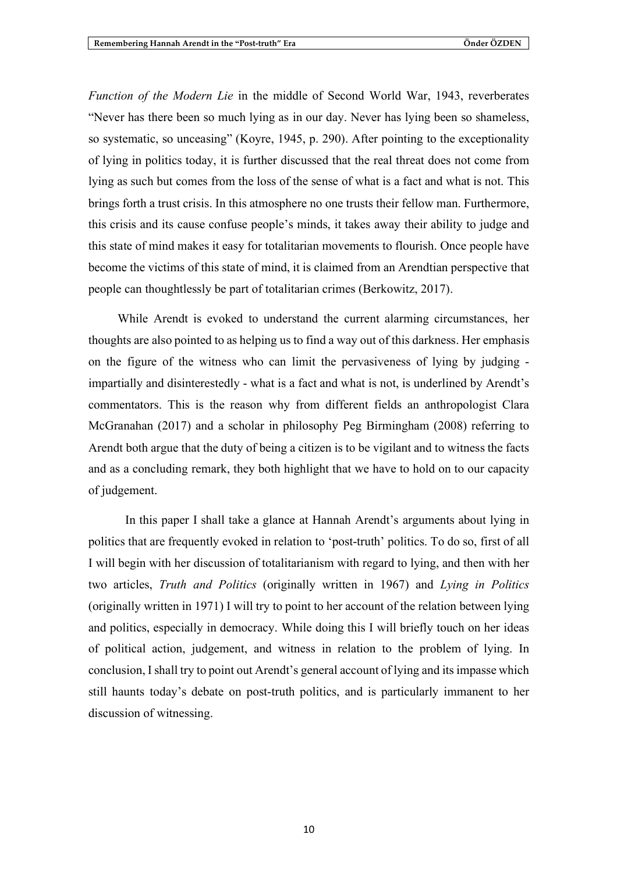*Function of the Modern Lie* in the middle of Second World War, 1943, reverberates "Never has there been so much lying as in our day. Never has lying been so shameless, so systematic, so unceasing" (Koyre, 1945, p. 290). After pointing to the exceptionality of lying in politics today, it is further discussed that the real threat does not come from lying as such but comes from the loss of the sense of what is a fact and what is not. This brings forth a trust crisis. In this atmosphere no one trusts their fellow man. Furthermore, this crisis and its cause confuse people's minds, it takes away their ability to judge and this state of mind makes it easy for totalitarian movements to flourish. Once people have become the victims of this state of mind, it is claimed from an Arendtian perspective that people can thoughtlessly be part of totalitarian crimes (Berkowitz, 2017).

While Arendt is evoked to understand the current alarming circumstances, her thoughts are also pointed to as helping us to find a way out of this darkness. Her emphasis on the figure of the witness who can limit the pervasiveness of lying by judging impartially and disinterestedly - what is a fact and what is not, is underlined by Arendt's commentators. This is the reason why from different fields an anthropologist Clara McGranahan (2017) and a scholar in philosophy Peg Birmingham (2008) referring to Arendt both argue that the duty of being a citizen is to be vigilant and to witness the facts and as a concluding remark, they both highlight that we have to hold on to our capacity of judgement.

In this paper I shall take a glance at Hannah Arendt's arguments about lying in politics that are frequently evoked in relation to 'post-truth' politics. To do so, first of all I will begin with her discussion of totalitarianism with regard to lying, and then with her two articles, *Truth and Politics* (originally written in 1967) and *Lying in Politics* (originally written in 1971) I will try to point to her account of the relation between lying and politics, especially in democracy. While doing this I will briefly touch on her ideas of political action, judgement, and witness in relation to the problem of lying. In conclusion, Ishall try to point out Arendt's general account of lying and itsimpasse which still haunts today's debate on post-truth politics, and is particularly immanent to her discussion of witnessing.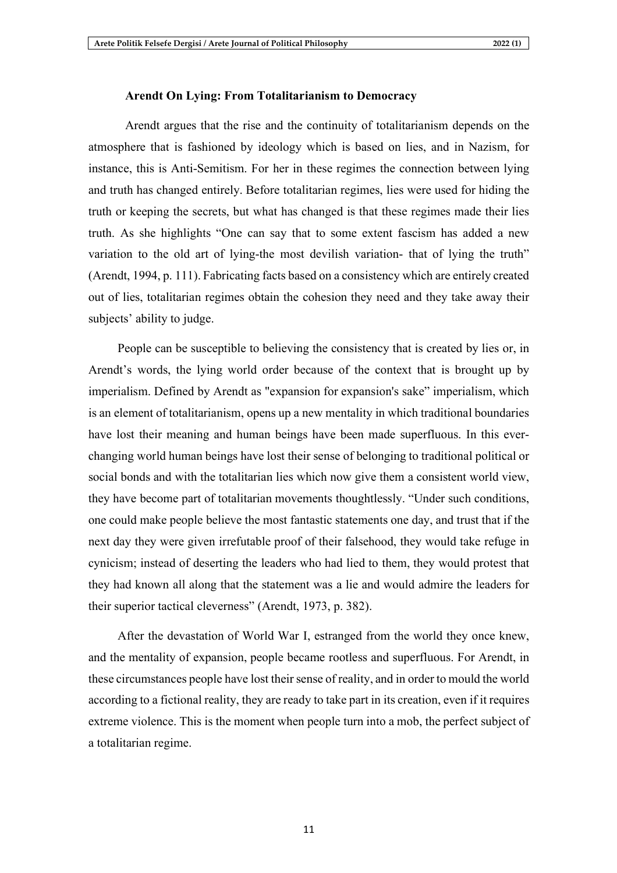#### **Arendt On Lying: From Totalitarianism to Democracy**

Arendt argues that the rise and the continuity of totalitarianism depends on the atmosphere that is fashioned by ideology which is based on lies, and in Nazism, for instance, this is Anti-Semitism. For her in these regimes the connection between lying and truth has changed entirely. Before totalitarian regimes, lies were used for hiding the truth or keeping the secrets, but what has changed is that these regimes made their lies truth. As she highlights "One can say that to some extent fascism has added a new variation to the old art of lying-the most devilish variation- that of lying the truth" (Arendt, 1994, p. 111). Fabricating facts based on a consistency which are entirely created out of lies, totalitarian regimes obtain the cohesion they need and they take away their subjects' ability to judge.

People can be susceptible to believing the consistency that is created by lies or, in Arendt's words, the lying world order because of the context that is brought up by imperialism. Defined by Arendt as "expansion for expansion's sake" imperialism, which is an element of totalitarianism, opens up a new mentality in which traditional boundaries have lost their meaning and human beings have been made superfluous. In this everchanging world human beings have lost their sense of belonging to traditional political or social bonds and with the totalitarian lies which now give them a consistent world view, they have become part of totalitarian movements thoughtlessly. "Under such conditions, one could make people believe the most fantastic statements one day, and trust that if the next day they were given irrefutable proof of their falsehood, they would take refuge in cynicism; instead of deserting the leaders who had lied to them, they would protest that they had known all along that the statement was a lie and would admire the leaders for their superior tactical cleverness" (Arendt, 1973, p. 382).

After the devastation of World War I, estranged from the world they once knew, and the mentality of expansion, people became rootless and superfluous. For Arendt, in these circumstances people have lost their sense of reality, and in order to mould the world according to a fictional reality, they are ready to take part in its creation, even if it requires extreme violence. This is the moment when people turn into a mob, the perfect subject of a totalitarian regime.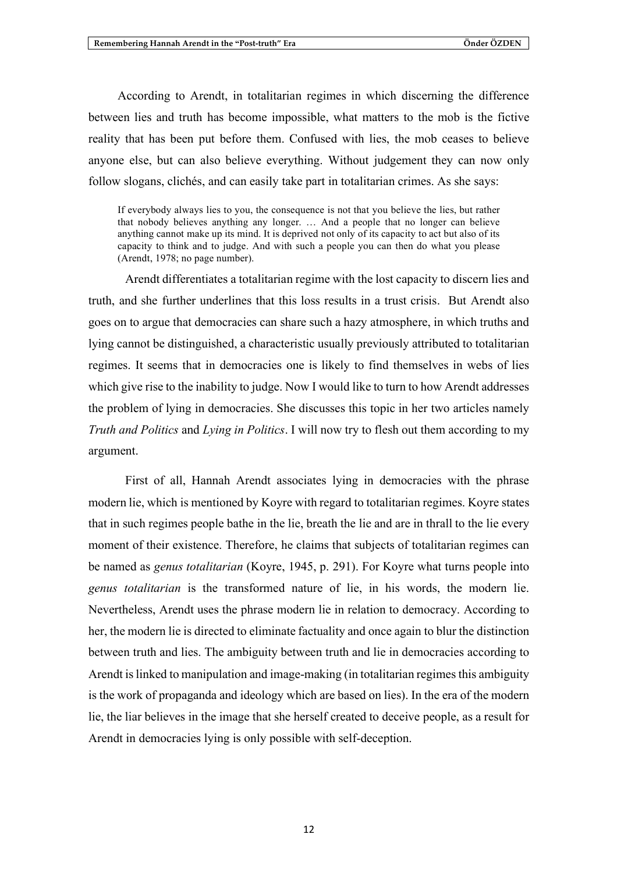According to Arendt, in totalitarian regimes in which discerning the difference between lies and truth has become impossible, what matters to the mob is the fictive reality that has been put before them. Confused with lies, the mob ceases to believe anyone else, but can also believe everything. Without judgement they can now only follow slogans, clichés, and can easily take part in totalitarian crimes. As she says:

If everybody always lies to you, the consequence is not that you believe the lies, but rather that nobody believes anything any longer. … And a people that no longer can believe anything cannot make up its mind. It is deprived not only of its capacity to act but also of its capacity to think and to judge. And with such a people you can then do what you please (Arendt, 1978; no page number).

Arendt differentiates a totalitarian regime with the lost capacity to discern lies and truth, and she further underlines that this loss results in a trust crisis. But Arendt also goes on to argue that democracies can share such a hazy atmosphere, in which truths and lying cannot be distinguished, a characteristic usually previously attributed to totalitarian regimes. It seems that in democracies one is likely to find themselves in webs of lies which give rise to the inability to judge. Now I would like to turn to how Arendt addresses the problem of lying in democracies. She discusses this topic in her two articles namely *Truth and Politics* and *Lying in Politics*. I will now try to flesh out them according to my argument.

First of all, Hannah Arendt associates lying in democracies with the phrase modern lie, which is mentioned by Koyre with regard to totalitarian regimes. Koyre states that in such regimes people bathe in the lie, breath the lie and are in thrall to the lie every moment of their existence. Therefore, he claims that subjects of totalitarian regimes can be named as *genus totalitarian* (Koyre, 1945, p. 291). For Koyre what turns people into *genus totalitarian* is the transformed nature of lie, in his words, the modern lie. Nevertheless, Arendt uses the phrase modern lie in relation to democracy. According to her, the modern lie is directed to eliminate factuality and once again to blur the distinction between truth and lies. The ambiguity between truth and lie in democracies according to Arendt is linked to manipulation and image-making (in totalitarian regimes this ambiguity is the work of propaganda and ideology which are based on lies). In the era of the modern lie, the liar believes in the image that she herself created to deceive people, as a result for Arendt in democracies lying is only possible with self-deception.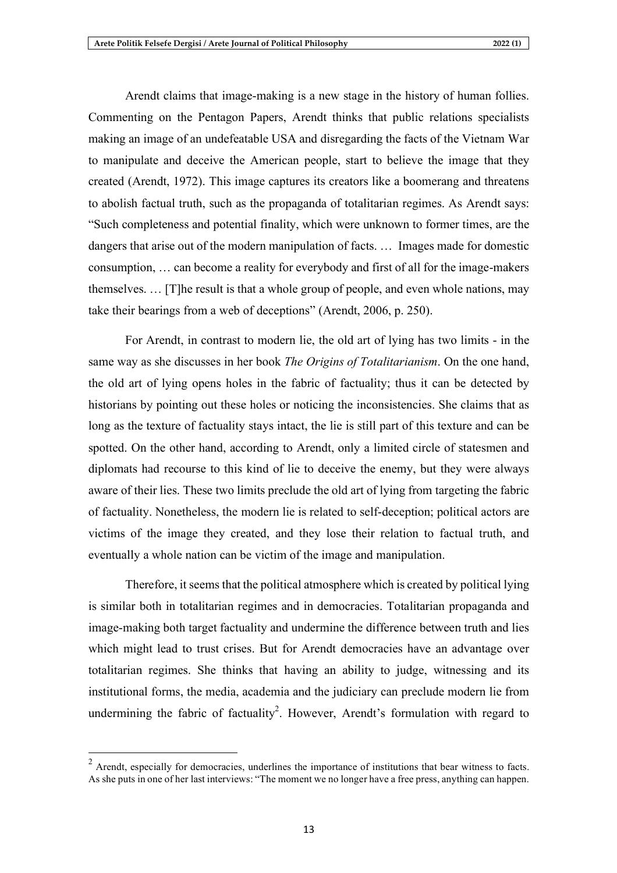Arendt claims that image-making is a new stage in the history of human follies. Commenting on the Pentagon Papers, Arendt thinks that public relations specialists making an image of an undefeatable USA and disregarding the facts of the Vietnam War to manipulate and deceive the American people, start to believe the image that they created (Arendt, 1972). This image captures its creators like a boomerang and threatens to abolish factual truth, such as the propaganda of totalitarian regimes. As Arendt says: "Such completeness and potential finality, which were unknown to former times, are the dangers that arise out of the modern manipulation of facts. … Images made for domestic consumption, … can become a reality for everybody and first of all for the image-makers themselves. … [T]he result is that a whole group of people, and even whole nations, may take their bearings from a web of deceptions" (Arendt, 2006, p. 250).

For Arendt, in contrast to modern lie, the old art of lying has two limits - in the same way as she discusses in her book *The Origins of Totalitarianism*. On the one hand, the old art of lying opens holes in the fabric of factuality; thus it can be detected by historians by pointing out these holes or noticing the inconsistencies. She claims that as long as the texture of factuality stays intact, the lie is still part of this texture and can be spotted. On the other hand, according to Arendt, only a limited circle of statesmen and diplomats had recourse to this kind of lie to deceive the enemy, but they were always aware of their lies. These two limits preclude the old art of lying from targeting the fabric of factuality. Nonetheless, the modern lie is related to self-deception; political actors are victims of the image they created, and they lose their relation to factual truth, and eventually a whole nation can be victim of the image and manipulation.

Therefore, it seemsthat the political atmosphere which is created by political lying is similar both in totalitarian regimes and in democracies. Totalitarian propaganda and image-making both target factuality and undermine the difference between truth and lies which might lead to trust crises. But for Arendt democracies have an advantage over totalitarian regimes. She thinks that having an ability to judge, witnessing and its institutional forms, the media, academia and the judiciary can preclude modern lie from undermining the fabric of factuality<sup>2</sup>. However, Arendt's formulation with regard to

<sup>&</sup>lt;sup>2</sup> Arendt, especially for democracies, underlines the importance of institutions that bear witness to facts. As she puts in one of her last interviews: "The moment we no longer have a free press, anything can happen.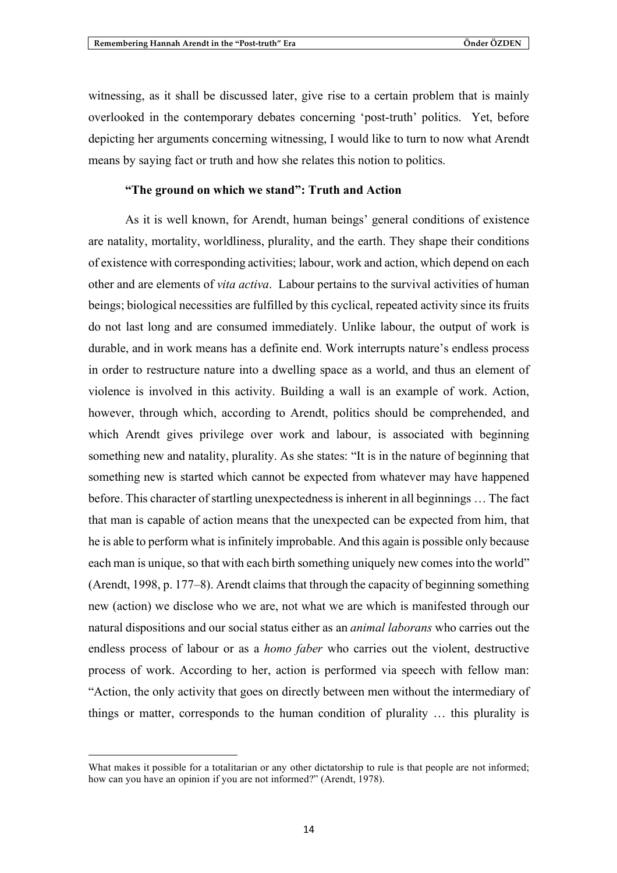witnessing, as it shall be discussed later, give rise to a certain problem that is mainly overlooked in the contemporary debates concerning 'post-truth' politics. Yet, before depicting her arguments concerning witnessing, I would like to turn to now what Arendt means by saying fact or truth and how she relates this notion to politics.

## **"The ground on which we stand": Truth and Action**

As it is well known, for Arendt, human beings' general conditions of existence are natality, mortality, worldliness, plurality, and the earth. They shape their conditions of existence with corresponding activities; labour, work and action, which depend on each other and are elements of *vita activa*. Labour pertains to the survival activities of human beings; biological necessities are fulfilled by this cyclical, repeated activity since its fruits do not last long and are consumed immediately. Unlike labour, the output of work is durable, and in work means has a definite end. Work interrupts nature's endless process in order to restructure nature into a dwelling space as a world, and thus an element of violence is involved in this activity. Building a wall is an example of work. Action, however, through which, according to Arendt, politics should be comprehended, and which Arendt gives privilege over work and labour, is associated with beginning something new and natality, plurality. As she states: "It is in the nature of beginning that something new is started which cannot be expected from whatever may have happened before. This character of startling unexpectednessis inherent in all beginnings … The fact that man is capable of action means that the unexpected can be expected from him, that he is able to perform what is infinitely improbable. And this again is possible only because each man is unique, so that with each birth something uniquely new comes into the world" (Arendt, 1998, p. 177–8). Arendt claims that through the capacity of beginning something new (action) we disclose who we are, not what we are which is manifested through our natural dispositions and our social status either as an *animal laborans* who carries out the endless process of labour or as a *homo faber* who carries out the violent, destructive process of work. According to her, action is performed via speech with fellow man: "Action, the only activity that goes on directly between men without the intermediary of things or matter, corresponds to the human condition of plurality … this plurality is

<u> 1989 - Johann Barn, mars ann an t-Amhain an t-Amhain an t-Amhain an t-Amhain an t-Amhain an t-Amhain an t-Amh</u>

What makes it possible for a totalitarian or any other dictatorship to rule is that people are not informed; how can you have an opinion if you are not informed?" (Arendt, 1978).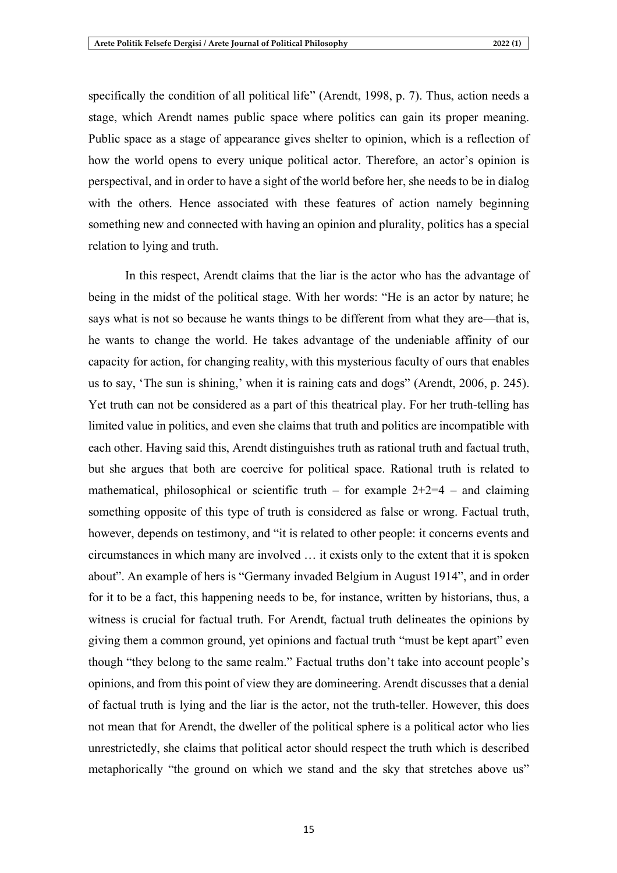specifically the condition of all political life" (Arendt, 1998, p. 7). Thus, action needs a stage, which Arendt names public space where politics can gain its proper meaning. Public space as a stage of appearance gives shelter to opinion, which is a reflection of how the world opens to every unique political actor. Therefore, an actor's opinion is perspectival, and in order to have a sight of the world before her, she needs to be in dialog with the others. Hence associated with these features of action namely beginning something new and connected with having an opinion and plurality, politics has a special relation to lying and truth.

In this respect, Arendt claims that the liar is the actor who has the advantage of being in the midst of the political stage. With her words: "He is an actor by nature; he says what is not so because he wants things to be different from what they are—that is, he wants to change the world. He takes advantage of the undeniable affinity of our capacity for action, for changing reality, with this mysterious faculty of ours that enables us to say, 'The sun is shining,' when it is raining cats and dogs" (Arendt, 2006, p. 245). Yet truth can not be considered as a part of this theatrical play. For her truth-telling has limited value in politics, and even she claims that truth and politics are incompatible with each other. Having said this, Arendt distinguishes truth as rational truth and factual truth, but she argues that both are coercive for political space. Rational truth is related to mathematical, philosophical or scientific truth – for example  $2+2=4$  – and claiming something opposite of this type of truth is considered as false or wrong. Factual truth, however, depends on testimony, and "it is related to other people: it concerns events and circumstances in which many are involved … it exists only to the extent that it is spoken about". An example of hers is "Germany invaded Belgium in August 1914", and in order for it to be a fact, this happening needs to be, for instance, written by historians, thus, a witness is crucial for factual truth. For Arendt, factual truth delineates the opinions by giving them a common ground, yet opinions and factual truth "must be kept apart" even though "they belong to the same realm." Factual truths don't take into account people's opinions, and from this point of view they are domineering. Arendt discussesthat a denial of factual truth is lying and the liar is the actor, not the truth-teller. However, this does not mean that for Arendt, the dweller of the political sphere is a political actor who lies unrestrictedly, she claims that political actor should respect the truth which is described metaphorically "the ground on which we stand and the sky that stretches above us"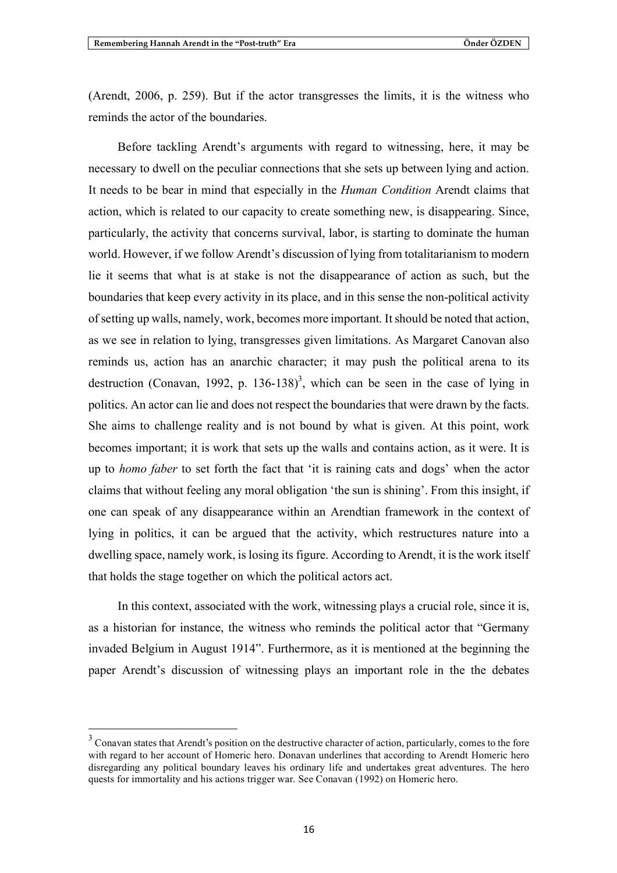(Arendt, 2006, p. 259). But if the actor transgresses the limits, it is the witness who reminds the actor of the boundaries.

Before tackling Arendt's arguments with regard to witnessing, here, it may be necessary to dwell on the peculiar connections that she sets up between lying and action. It needs to be bear in mind that especially in the *Human Condition* Arendt claims that action, which is related to our capacity to create something new, is disappearing. Since, particularly, the activity that concerns survival, labor, is starting to dominate the human world. However, if we follow Arendt's discussion of lying from totalitarianism to modern lie it seems that what is at stake is not the disappearance of action as such, but the boundaries that keep every activity in its place, and in this sense the non-political activity of setting up walls, namely, work, becomes more important. It should be noted that action, as we see in relation to lying, transgresses given limitations. As Margaret Canovan also reminds us, action has an anarchic character; it may push the political arena to its destruction (Conavan, 1992, p. 136-138)<sup>3</sup>, which can be seen in the case of lying in politics. An actor can lie and does not respect the boundaries that were drawn by the facts. She aims to challenge reality and is not bound by what is given. At this point, work becomes important; it is work that sets up the walls and contains action, as it were. It is up to *homo faber* to set forth the fact that 'it is raining cats and dogs' when the actor claims that without feeling any moral obligation 'the sun is shining'. From this insight, if one can speak of any disappearance within an Arendtian framework in the context of lying in politics, it can be argued that the activity, which restructures nature into a dwelling space, namely work, islosing its figure. According to Arendt, it isthe work itself that holds the stage together on which the political actors act.

In this context, associated with the work, witnessing plays a crucial role, since it is, as a historian for instance, the witness who reminds the political actor that "Germany invaded Belgium in August 1914". Furthermore, as it is mentioned at the beginning the paper Arendt's discussion of witnessing plays an important role in the the debates

<sup>&</sup>lt;sup>3</sup> Conavan states that Arendt's position on the destructive character of action, particularly, comes to the fore with regard to her account of Homeric hero. Donavan underlines that according to Arendt Homeric hero disregarding any political boundary leaves his ordinary life and undertakes great adventures. The hero quests for immortality and his actions trigger war. See Conavan (1992) on Homeric hero.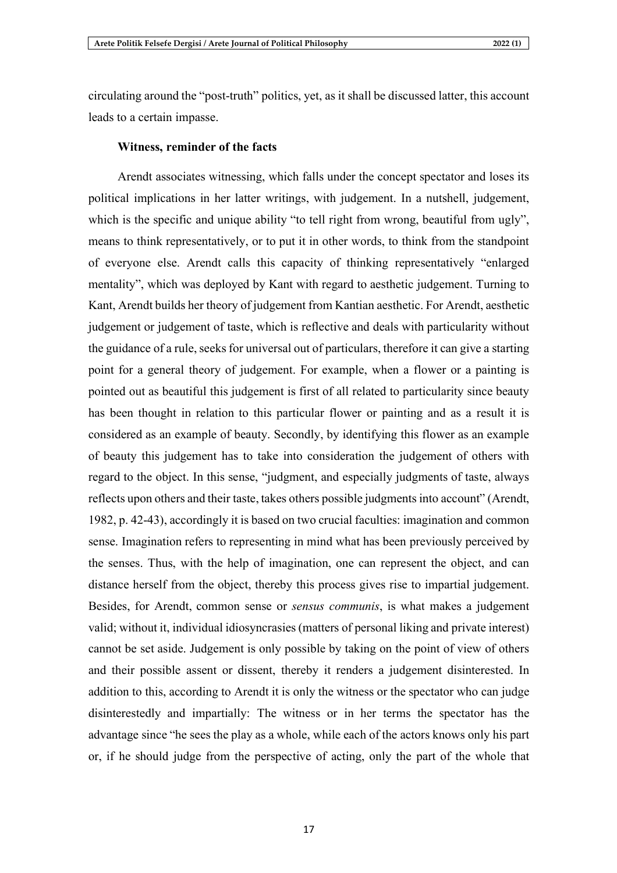circulating around the "post-truth" politics, yet, as it shall be discussed latter, this account leads to a certain impasse.

#### **Witness, reminder of the facts**

Arendt associates witnessing, which falls under the concept spectator and loses its political implications in her latter writings, with judgement. In a nutshell, judgement, which is the specific and unique ability "to tell right from wrong, beautiful from ugly", means to think representatively, or to put it in other words, to think from the standpoint of everyone else. Arendt calls this capacity of thinking representatively "enlarged mentality", which was deployed by Kant with regard to aesthetic judgement. Turning to Kant, Arendt builds her theory of judgement from Kantian aesthetic. For Arendt, aesthetic judgement or judgement of taste, which is reflective and deals with particularity without the guidance of a rule, seeks for universal out of particulars, therefore it can give a starting point for a general theory of judgement. For example, when a flower or a painting is pointed out as beautiful this judgement is first of all related to particularity since beauty has been thought in relation to this particular flower or painting and as a result it is considered as an example of beauty. Secondly, by identifying this flower as an example of beauty this judgement has to take into consideration the judgement of others with regard to the object. In this sense, "judgment, and especially judgments of taste, always reflects upon others and their taste, takes others possible judgments into account" (Arendt, 1982, p. 42-43), accordingly it is based on two crucial faculties: imagination and common sense. Imagination refers to representing in mind what has been previously perceived by the senses. Thus, with the help of imagination, one can represent the object, and can distance herself from the object, thereby this process gives rise to impartial judgement. Besides, for Arendt, common sense or *sensus communis*, is what makes a judgement valid; without it, individual idiosyncrasies(matters of personal liking and private interest) cannot be set aside. Judgement is only possible by taking on the point of view of others and their possible assent or dissent, thereby it renders a judgement disinterested. In addition to this, according to Arendt it is only the witness or the spectator who can judge disinterestedly and impartially: The witness or in her terms the spectator has the advantage since "he sees the play as a whole, while each of the actors knows only his part or, if he should judge from the perspective of acting, only the part of the whole that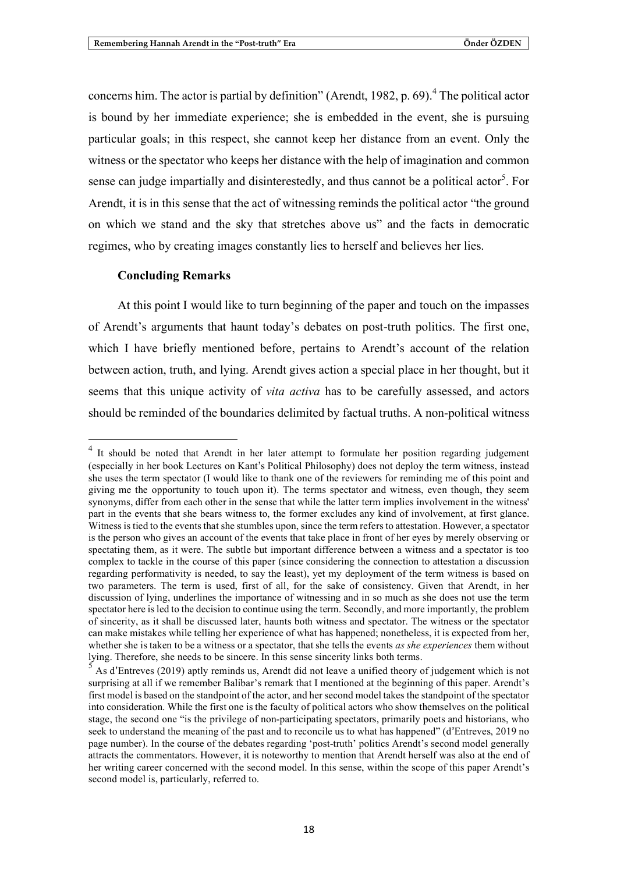concerns him. The actor is partial by definition" (Arendt, 1982, p. 69).<sup>4</sup> The political actor is bound by her immediate experience; she is embedded in the event, she is pursuing particular goals; in this respect, she cannot keep her distance from an event. Only the witness or the spectator who keeps her distance with the help of imagination and common sense can judge impartially and disinterestedly, and thus cannot be a political actor<sup>5</sup>. For Arendt, it is in this sense that the act of witnessing reminds the political actor "the ground on which we stand and the sky that stretches above us" and the facts in democratic regimes, who by creating images constantly lies to herself and believes her lies.

#### **Concluding Remarks**

At this point I would like to turn beginning of the paper and touch on the impasses of Arendt's arguments that haunt today's debates on post-truth politics. The first one, which I have briefly mentioned before, pertains to Arendt's account of the relation between action, truth, and lying. Arendt gives action a special place in her thought, but it seems that this unique activity of *vita activa* has to be carefully assessed, and actors should be reminded of the boundaries delimited by factual truths. A non-political witness

<sup>&</sup>lt;sup>4</sup> It should be noted that Arendt in her later attempt to formulate her position regarding judgement (especially in her book Lectures on Kant's Political Philosophy) does not deploy the term witness, instead she uses the term spectator (I would like to thank one of the reviewers for reminding me of this point and giving me the opportunity to touch upon it). The terms spectator and witness, even though, they seem synonyms, differ from each other in the sense that while the latter term implies involvement in the witness' part in the events that she bears witness to, the former excludes any kind of involvement, at first glance. Witness is tied to the events that she stumbles upon, since the term refers to attestation. However, a spectator is the person who gives an account of the events that take place in front of her eyes by merely observing or spectating them, as it were. The subtle but important difference between a witness and a spectator is too complex to tackle in the course of this paper (since considering the connection to attestation a discussion regarding performativity is needed, to say the least), yet my deployment of the term witness is based on two parameters. The term is used, first of all, for the sake of consistency. Given that Arendt, in her discussion of lying, underlines the importance of witnessing and in so much as she does not use the term spectator here is led to the decision to continue using the term. Secondly, and more importantly, the problem of sincerity, as it shall be discussed later, haunts both witness and spectator. The witness or the spectator can make mistakes while telling her experience of what has happened; nonetheless, it is expected from her, whether she is taken to be a witness or a spectator, that she tells the events *as she experiences* them without lying. Therefore, she needs to be sincere. In this sense sincerity links both terms. 5 As <sup>d</sup>'Entreves (2019) aptly reminds us, Arendt did not leave <sup>a</sup> unified theory of judgement which is not

surprising at all if we remember Balibar's remark that I mentioned at the beginning of this paper. Arendt's first model is based on the standpoint of the actor, and her second model takes the standpoint of the spectator into consideration. While the first one is the faculty of political actors who show themselves on the political stage, the second one "is the privilege of non-participating spectators, primarily poets and historians, who seek to understand the meaning of the past and to reconcile us to what has happened" (d'Entreves, 2019 no page number). In the course of the debates regarding 'post-truth' politics Arendt's second model generally attracts the commentators. However, it is noteworthy to mention that Arendt herself was also at the end of her writing career concerned with the second model. In this sense, within the scope of this paper Arendt's second model is, particularly, referred to.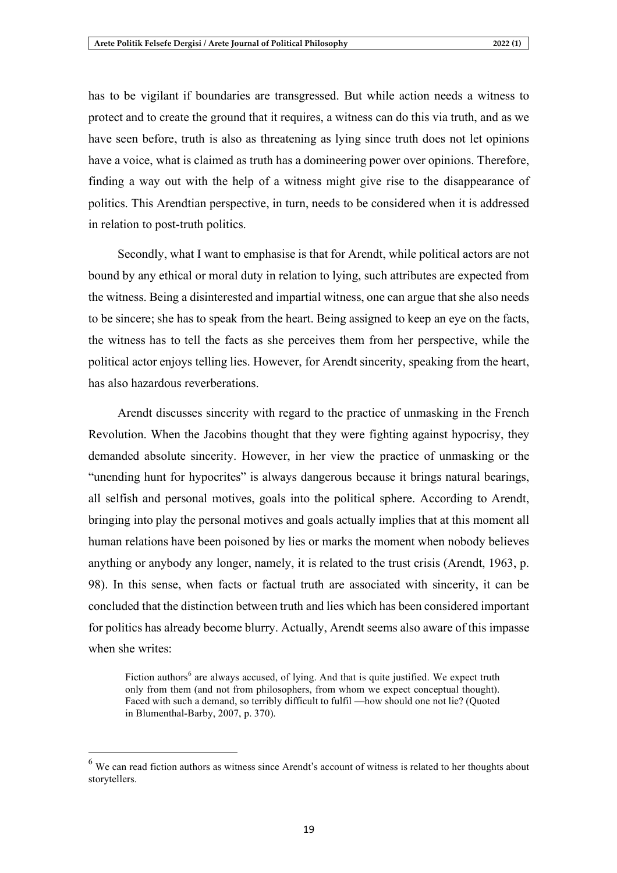has to be vigilant if boundaries are transgressed. But while action needs a witness to protect and to create the ground that it requires, a witness can do this via truth, and as we have seen before, truth is also as threatening as lying since truth does not let opinions have a voice, what is claimed as truth has a domineering power over opinions. Therefore, finding a way out with the help of a witness might give rise to the disappearance of politics. This Arendtian perspective, in turn, needs to be considered when it is addressed in relation to post-truth politics.

Secondly, what I want to emphasise is that for Arendt, while political actors are not bound by any ethical or moral duty in relation to lying, such attributes are expected from the witness. Being a disinterested and impartial witness, one can argue that she also needs to be sincere; she has to speak from the heart. Being assigned to keep an eye on the facts, the witness has to tell the facts as she perceives them from her perspective, while the political actor enjoys telling lies. However, for Arendt sincerity, speaking from the heart, has also hazardous reverberations.

Arendt discusses sincerity with regard to the practice of unmasking in the French Revolution. When the Jacobins thought that they were fighting against hypocrisy, they demanded absolute sincerity. However, in her view the practice of unmasking or the "unending hunt for hypocrites" is always dangerous because it brings natural bearings, all selfish and personal motives, goals into the political sphere. According to Arendt, bringing into play the personal motives and goals actually implies that at this moment all human relations have been poisoned by lies or marks the moment when nobody believes anything or anybody any longer, namely, it is related to the trust crisis (Arendt, 1963, p. 98). In this sense, when facts or factual truth are associated with sincerity, it can be concluded that the distinction between truth and lies which has been considered important for politics has already become blurry. Actually, Arendt seems also aware of this impasse when she writes:

Fiction authors<sup>6</sup> are always accused, of lying. And that is quite justified. We expect truth only from them (and not from philosophers, from whom we expect conceptual thought). Faced with such a demand, so terribly difficult to fulfil —how should one not lie? (Quoted in Blumenthal-Barby, 2007, p. 370).

 $<sup>6</sup>$  We can read fiction authors as witness since Arendt's account of witness is related to her thoughts about</sup> storytellers.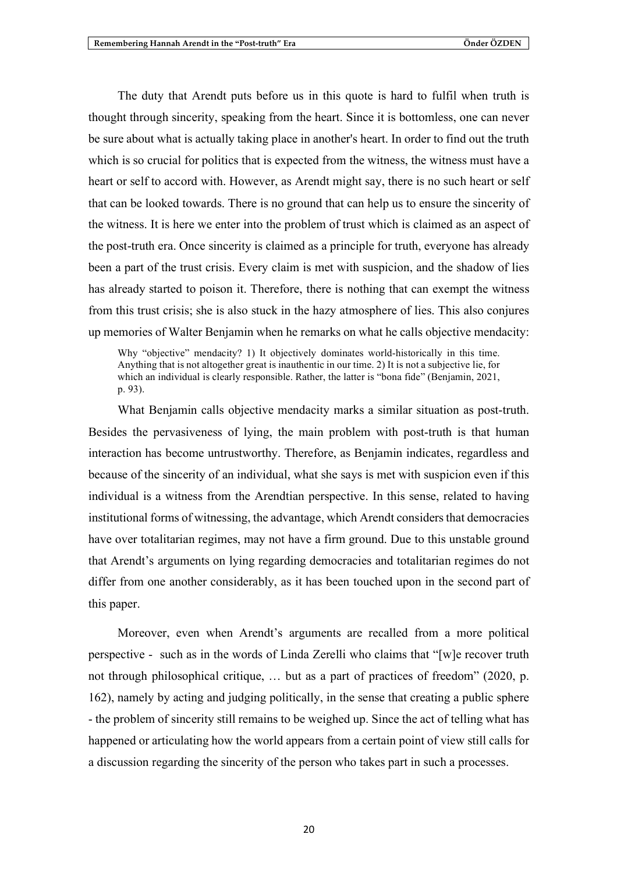The duty that Arendt puts before us in this quote is hard to fulfil when truth is thought through sincerity, speaking from the heart. Since it is bottomless, one can never be sure about what is actually taking place in another's heart. In order to find out the truth which is so crucial for politics that is expected from the witness, the witness must have a heart or self to accord with. However, as Arendt might say, there is no such heart or self that can be looked towards. There is no ground that can help us to ensure the sincerity of the witness. It is here we enter into the problem of trust which is claimed as an aspect of the post-truth era. Once sincerity is claimed as a principle for truth, everyone has already been a part of the trust crisis. Every claim is met with suspicion, and the shadow of lies has already started to poison it. Therefore, there is nothing that can exempt the witness from this trust crisis; she is also stuck in the hazy atmosphere of lies. This also conjures up memories of Walter Benjamin when he remarks on what he calls objective mendacity:

Why "objective" mendacity? 1) It objectively dominates world-historically in this time. Anything that is not altogether great is inauthentic in our time. 2) It is not a subjective lie, for which an individual is clearly responsible. Rather, the latter is "bona fide" (Benjamin, 2021, p. 93).

What Benjamin calls objective mendacity marks a similar situation as post-truth. Besides the pervasiveness of lying, the main problem with post-truth is that human interaction has become untrustworthy. Therefore, as Benjamin indicates, regardless and because of the sincerity of an individual, what she says is met with suspicion even if this individual is a witness from the Arendtian perspective. In this sense, related to having institutional forms of witnessing, the advantage, which Arendt considers that democracies have over totalitarian regimes, may not have a firm ground. Due to this unstable ground that Arendt's arguments on lying regarding democracies and totalitarian regimes do not differ from one another considerably, as it has been touched upon in the second part of this paper.

Moreover, even when Arendt's arguments are recalled from a more political perspective - such as in the words of Linda Zerelli who claims that "[w]e recover truth not through philosophical critique, … but as a part of practices of freedom" (2020, p. 162), namely by acting and judging politically, in the sense that creating a public sphere - the problem of sincerity still remains to be weighed up. Since the act of telling what has happened or articulating how the world appears from a certain point of view still calls for a discussion regarding the sincerity of the person who takes part in such a processes.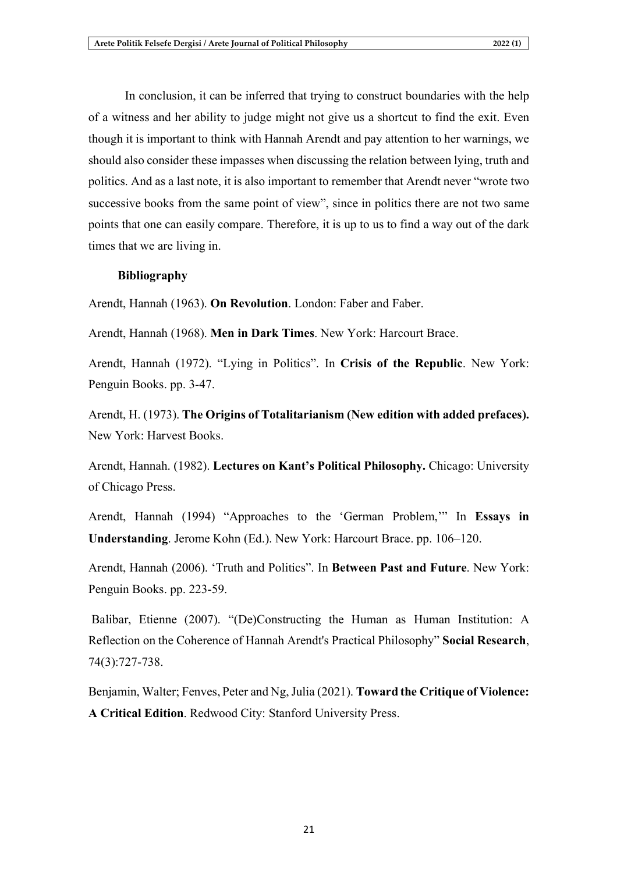In conclusion, it can be inferred that trying to construct boundaries with the help of a witness and her ability to judge might not give us a shortcut to find the exit. Even though it is important to think with Hannah Arendt and pay attention to her warnings, we should also consider these impasses when discussing the relation between lying, truth and politics. And as a last note, it is also important to remember that Arendt never "wrote two successive books from the same point of view", since in politics there are not two same points that one can easily compare. Therefore, it is up to us to find a way out of the dark times that we are living in.

### **Bibliography**

Arendt, Hannah (1963). **On Revolution**. London: Faber and Faber.

Arendt, Hannah (1968). **Men in Dark Times**. New York: Harcourt Brace.

Arendt, Hannah (1972). "Lying in Politics". In **Crisis of the Republic**. New York: Penguin Books. pp. 3-47.

Arendt, H. (1973). **The Origins of Totalitarianism (New edition with added prefaces).** New York: Harvest Books.

Arendt, Hannah. (1982). **Lectures on Kant's Political Philosophy.** Chicago: University of Chicago Press.

Arendt, Hannah (1994) "Approaches to the 'German Problem,'" In **Essays in Understanding**. Jerome Kohn (Ed.). New York: Harcourt Brace. pp. 106–120.

Arendt, Hannah (2006). 'Truth and Politics". In **Between Past and Future**. New York: Penguin Books. pp. 223-59.

Balibar, Etienne (2007). "(De)Constructing the Human as Human Institution: A Reflection on the Coherence of Hannah Arendt's Practical Philosophy" **Social Research**, 74(3):727-738.

Benjamin, Walter; Fenves, Peter and Ng,Julia (2021). **Toward the Critique of Violence: A Critical Edition**. Redwood City: Stanford University Press.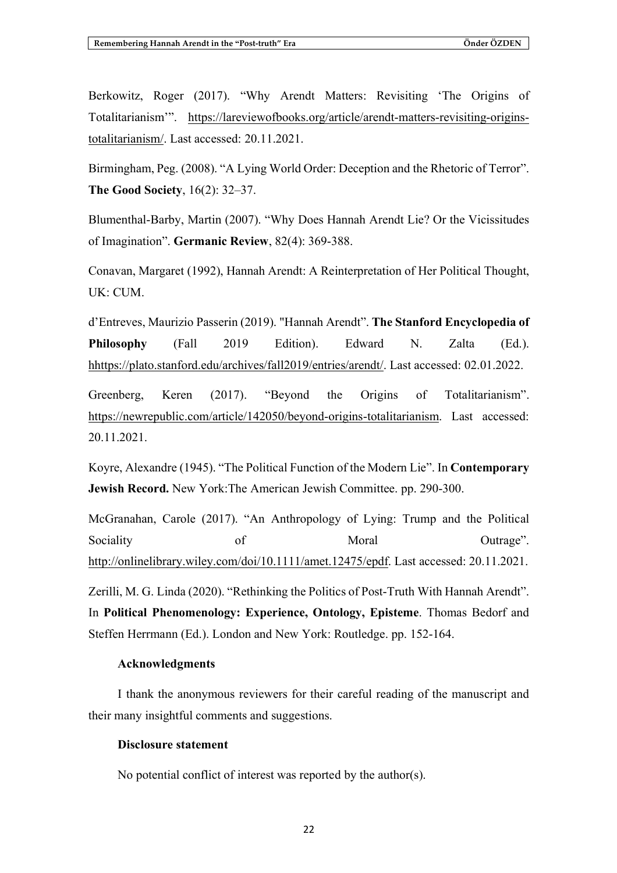Berkowitz, Roger (2017). "Why Arendt Matters: Revisiting 'The Origins of Totalitarianism'". https://lareviewofbooks.org/article/arendt-matters-revisiting-originstotalitarianism/. Last accessed: 20.11.2021.

Birmingham, Peg. (2008). "A Lying World Order: Deception and the Rhetoric of Terror". **The Good Society**, 16(2): 32–37.

Blumenthal-Barby, Martin (2007). "Why Does Hannah Arendt Lie? Or the Vicissitudes of Imagination". **Germanic Review**, 82(4): 369-388.

Conavan, Margaret (1992), Hannah Arendt: A Reinterpretation of Her Political Thought, UK: CUM.

d'Entreves, Maurizio Passerin (2019). "Hannah Arendt". **The Stanford Encyclopedia of Philosophy** (Fall 2019 Edition). Edward N. Zalta (Ed.). hhttps://plato.stanford.edu/archives/fall2019/entries/arendt/. Last accessed: 02.01.2022.

Greenberg, Keren (2017). "Beyond the Origins of Totalitarianism". https://newrepublic.com/article/142050/beyond-origins-totalitarianism. Last accessed: 20.11.2021.

Koyre, Alexandre (1945). "The Political Function of the Modern Lie". In **Contemporary Jewish Record.** New York:The American Jewish Committee. pp. 290-300.

McGranahan, Carole (2017). "An Anthropology of Lying: Trump and the Political Sociality of Moral Moral Outrage". http://onlinelibrary.wiley.com/doi/10.1111/amet.12475/epdf. Last accessed: 20.11.2021. Zerilli, M. G. Linda (2020). "Rethinking the Politics of Post-Truth With Hannah Arendt". In **Political Phenomenology: Experience, Ontology, Episteme**. Thomas Bedorf and Steffen Herrmann (Ed.). London and New York: Routledge. pp. 152-164.

#### **Acknowledgments**

I thank the anonymous reviewers for their careful reading of the manuscript and their many insightful comments and suggestions.

#### **Disclosure statement**

No potential conflict of interest was reported by the author(s).